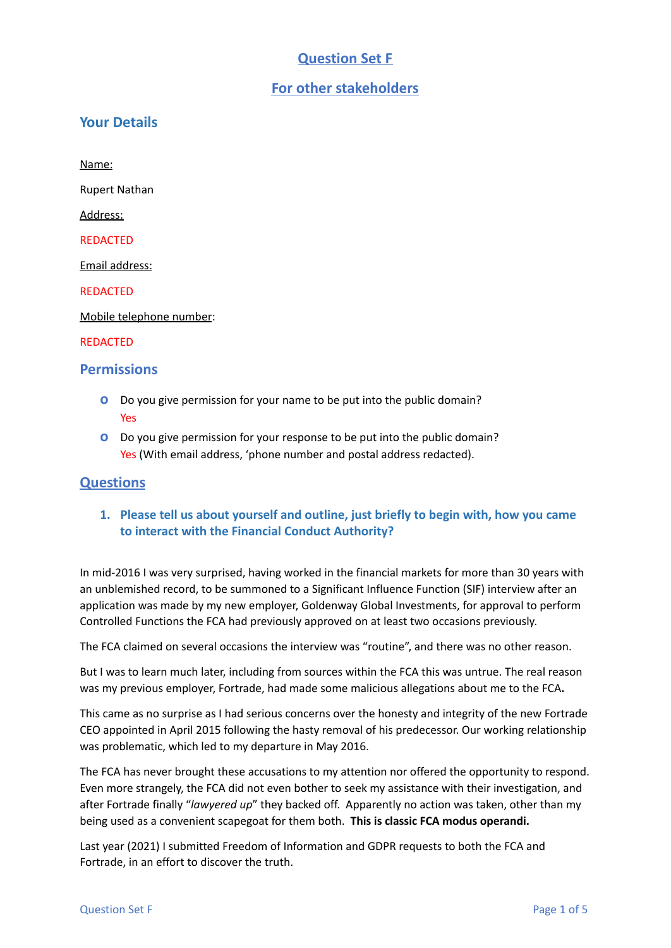# **Question Set F**

# **For other stakeholders**

## **Your Details**

Name:

Rupert Nathan

Address:

REDACTED

Email address:

REDACTED

Mobile telephone number:

#### REDACTED

#### **Permissions**

- **o** Do you give permission for your name to be put into the public domain? Yes
- **o** Do you give permission for your response to be put into the public domain? Yes (With email address, 'phone number and postal address redacted).

## **Questions**

**1. Please tell us about yourself and outline, just briefly to begin with, how you came to interact with the Financial Conduct Authority?**

In mid-2016 I was very surprised, having worked in the financial markets for more than 30 years with an unblemished record, to be summoned to a Significant Influence Function (SIF) interview after an application was made by my new employer, Goldenway Global Investments, for approval to perform Controlled Functions the FCA had previously approved on at least two occasions previously.

The FCA claimed on several occasions the interview was "routine", and there was no other reason.

But I was to learn much later, including from sources within the FCA this was untrue. The real reason was my previous employer, Fortrade, had made some malicious allegations about me to the FCA**.**

This came as no surprise as I had serious concerns over the honesty and integrity of the new Fortrade CEO appointed in April 2015 following the hasty removal of his predecessor. Our working relationship was problematic, which led to my departure in May 2016.

The FCA has never brought these accusations to my attention nor offered the opportunity to respond. Even more strangely, the FCA did not even bother to seek my assistance with their investigation, and after Fortrade finally "*lawyered up*" they backed off. Apparently no action was taken, other than my being used as a convenient scapegoat for them both. **This is classic FCA modus operandi.**

Last year (2021) I submitted Freedom of Information and GDPR requests to both the FCA and Fortrade, in an effort to discover the truth.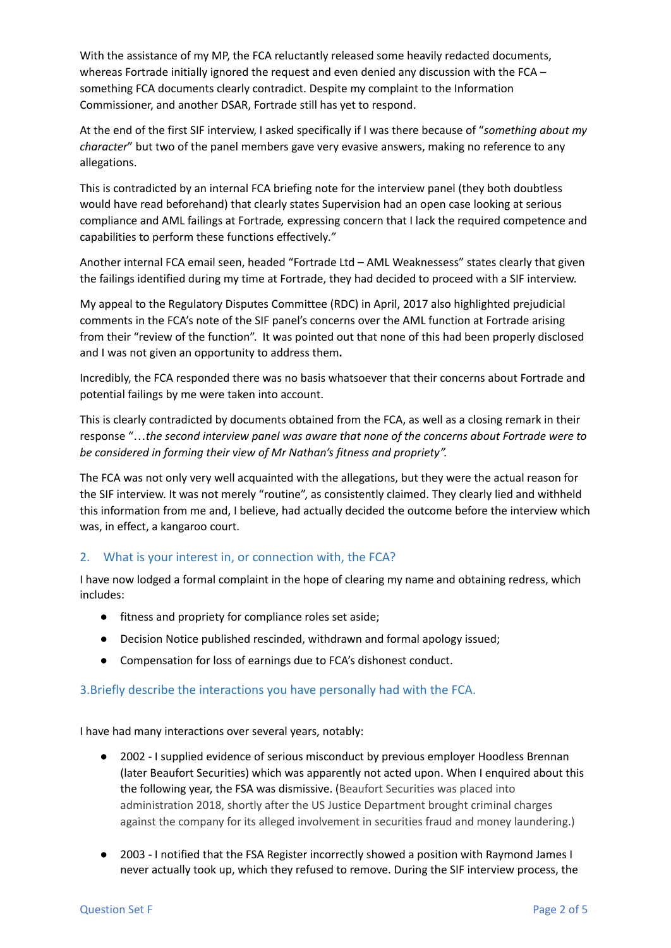With the assistance of my MP, the FCA reluctantly released some heavily redacted documents, whereas Fortrade initially ignored the request and even denied any discussion with the FCA – something FCA documents clearly contradict. Despite my complaint to the Information Commissioner, and another DSAR, Fortrade still has yet to respond.

At the end of the first SIF interview, I asked specifically if I was there because of "*something about my character*" but two of the panel members gave very evasive answers, making no reference to any allegations.

This is contradicted by an internal FCA briefing note for the interview panel (they both doubtless would have read beforehand) that clearly states Supervision had an open case looking at serious compliance and AML failings at Fortrade*,* expressing concern that I lack the required competence and capabilities to perform these functions effectively*."*

Another internal FCA email seen, headed "Fortrade Ltd – AML Weaknessess" states clearly that given the failings identified during my time at Fortrade, they had decided to proceed with a SIF interview.

My appeal to the Regulatory Disputes Committee (RDC) in April, 2017 also highlighted prejudicial comments in the FCA's note of the SIF panel's concerns over the AML function at Fortrade arising from their "review of the function". It was pointed out that none of this had been properly disclosed and I was not given an opportunity to address them**.**

Incredibly, the FCA responded there was no basis whatsoever that their concerns about Fortrade and potential failings by me were taken into account.

This is clearly contradicted by documents obtained from the FCA, as well as a closing remark in their response "…*the second interview panel was aware that none of the concerns about Fortrade were to be considered in forming their view of Mr Nathan's fitness and propriety".*

The FCA was not only very well acquainted with the allegations, but they were the actual reason for the SIF interview. It was not merely "routine", as consistently claimed. They clearly lied and withheld this information from me and, I believe, had actually decided the outcome before the interview which was, in effect, a kangaroo court.

# 2. What is your interest in, or connection with, the FCA?

I have now lodged a formal complaint in the hope of clearing my name and obtaining redress, which includes:

- fitness and propriety for compliance roles set aside;
- Decision Notice published rescinded, withdrawn and formal apology issued;
- Compensation for loss of earnings due to FCA's dishonest conduct.

## 3.Briefly describe the interactions you have personally had with the FCA.

I have had many interactions over several years, notably:

- 2002 I supplied evidence of serious misconduct by previous employer Hoodless Brennan (later Beaufort Securities) which was apparently not acted upon. When I enquired about this the following year, the FSA was dismissive. (Beaufort Securities was placed into administration 2018, shortly after the US Justice Department brought criminal charges against the company for its alleged involvement in securities fraud and money laundering.)
- 2003 I notified that the FSA Register incorrectly showed a position with Raymond James I never actually took up, which they refused to remove. During the SIF interview process, the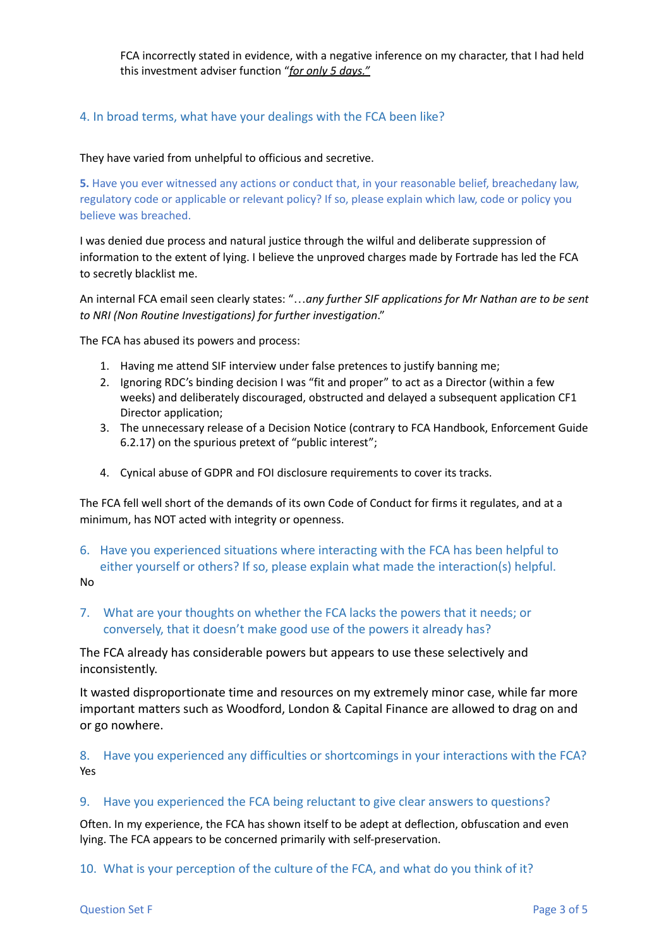FCA incorrectly stated in evidence, with a negative inference on my character, that I had held this investment adviser function "*for only 5 days."*

#### 4. In broad terms, what have your dealings with the FCA been like?

#### They have varied from unhelpful to officious and secretive.

**5.** Have you ever witnessed any actions or conduct that, in your reasonable belief, breachedany law, regulatory code or applicable or relevant policy? If so, please explain which law, code or policy you believe was breached.

I was denied due process and natural justice through the wilful and deliberate suppression of information to the extent of lying. I believe the unproved charges made by Fortrade has led the FCA to secretly blacklist me.

An internal FCA email seen clearly states: "…*any further SIF applications for Mr Nathan are to be sent to NRI (Non Routine Investigations) for further investigation*."

The FCA has abused its powers and process:

- 1. Having me attend SIF interview under false pretences to justify banning me;
- 2. Ignoring RDC's binding decision I was "fit and proper" to act as a Director (within a few weeks) and deliberately discouraged, obstructed and delayed a subsequent application CF1 Director application;
- 3. The unnecessary release of a Decision Notice (contrary to FCA Handbook, Enforcement Guide 6.2.17) on the spurious pretext of "public interest";
- 4. Cynical abuse of GDPR and FOI disclosure requirements to cover its tracks.

The FCA fell well short of the demands of its own Code of Conduct for firms it regulates, and at a minimum, has NOT acted with integrity or openness.

- 6. Have you experienced situations where interacting with the FCA has been helpful to either yourself or others? If so, please explain what made the interaction(s) helpful. No
- 7. What are your thoughts on whether the FCA lacks the powers that it needs; or conversely, that it doesn't make good use of the powers it already has?

The FCA already has considerable powers but appears to use these selectively and inconsistently.

It wasted disproportionate time and resources on my extremely minor case, while far more important matters such as Woodford, London & Capital Finance are allowed to drag on and or go nowhere.

8. Have you experienced any difficulties or shortcomings in your interactions with the FCA? Yes

#### 9. Have you experienced the FCA being reluctant to give clear answers to questions?

Often. In my experience, the FCA has shown itself to be adept at deflection, obfuscation and even lying. The FCA appears to be concerned primarily with self-preservation.

10. What is your perception of the culture of the FCA, and what do you think of it?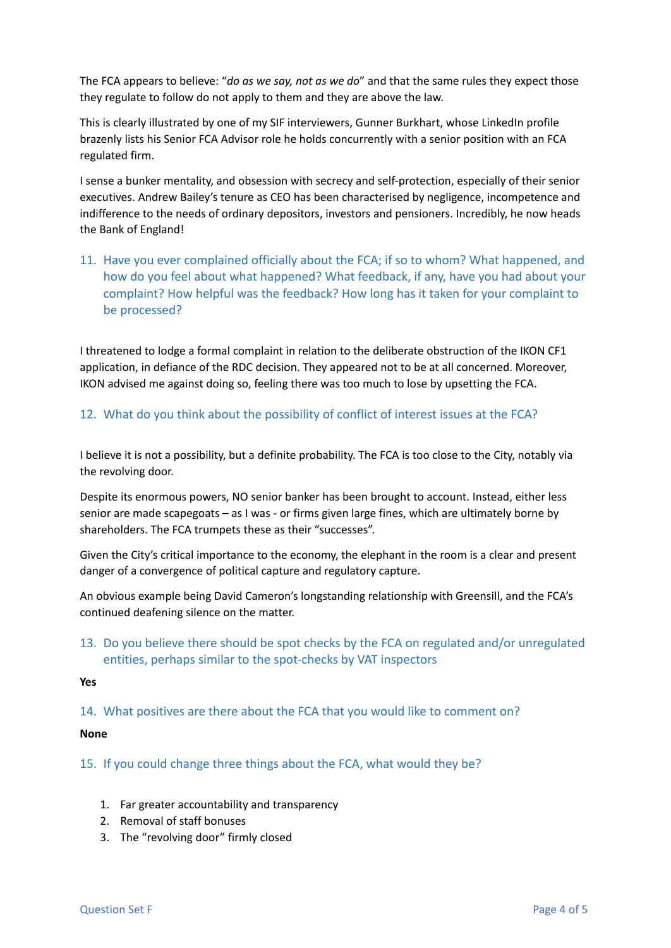The FCA appears to believe: "*do as we say, not as we do*" and that the same rules they expect those they regulate to follow do not apply to them and they are above the law.

This is clearly illustrated by one of my SIF interviewers, Gunner Burkhart, whose LinkedIn profile brazenly lists his Senior FCA Advisor role he holds concurrently with a senior position with an FCA regulated firm.

I sense a bunker mentality, and obsession with secrecy and self-protection, especially of their senior executives. Andrew Bailey's tenure as CEO has been characterised by negligence, incompetence and indifference to the needs of ordinary depositors, investors and pensioners. Incredibly, he now heads the Bank of England!

11. Have you ever complained officially about the FCA; if so to whom? What happened, and how do you feel about what happened? What feedback, if any, have you had about your complaint? How helpful was the feedback? How long has it taken for your complaint to be processed?

I threatened to lodge a formal complaint in relation to the deliberate obstruction of the IKON CF1 application, in defiance of the RDC decision. They appeared not to be at all concerned. Moreover, IKON advised me against doing so, feeling there was too much to lose by upsetting the FCA.

## 12. What do you think about the possibility of conflict of interest issues at the FCA?

I believe it is not a possibility, but a definite probability. The FCA is too close to the City, notably via the revolving door.

Despite its enormous powers, NO senior banker has been brought to account. Instead, either less senior are made scapegoats – as I was - or firms given large fines, which are ultimately borne by shareholders. The FCA trumpets these as their "successes".

Given the City's critical importance to the economy, the elephant in the room is a clear and present danger of a convergence of political capture and regulatory capture.

An obvious example being David Cameron's longstanding relationship with Greensill, and the FCA's continued deafening silence on the matter.

13. Do you believe there should be spot checks by the FCA on regulated and/or unregulated entities, perhaps similar to the spot-checks by VAT inspectors

**Yes**

14. What positives are there about the FCA that you would like to comment on?

#### **None**

15. If you could change three things about the FCA, what would they be?

- 1. Far greater accountability and transparency
- 2. Removal of staff bonuses
- 3. The "revolving door" firmly closed